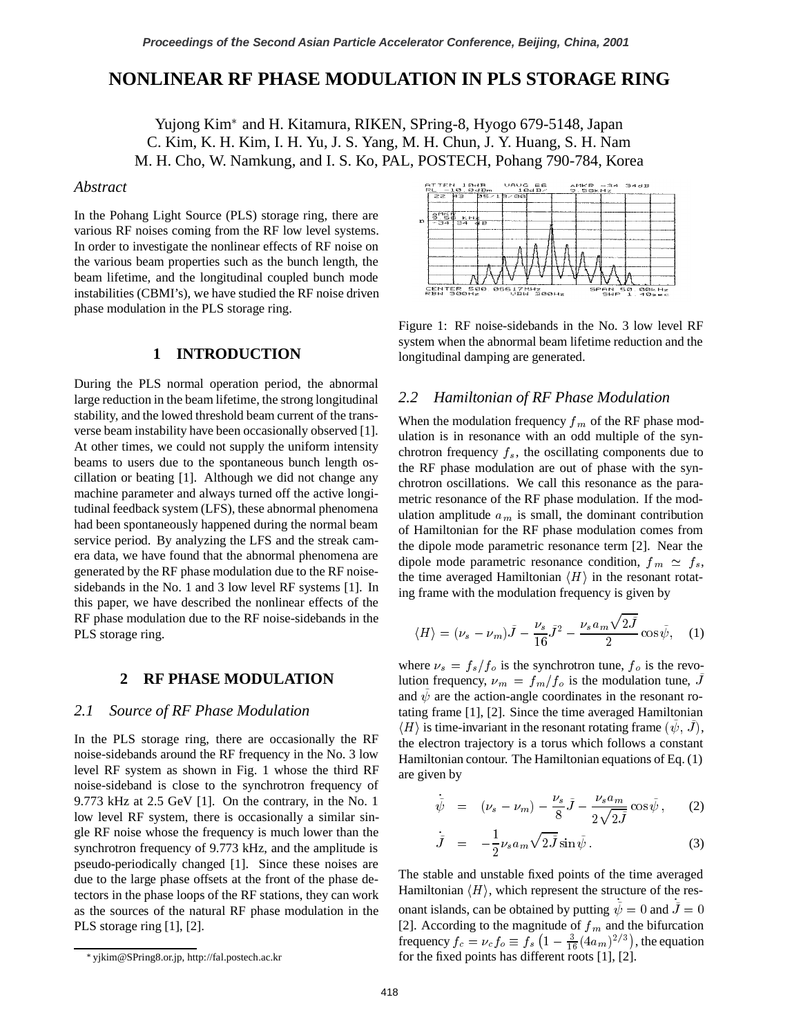# **NONLINEAR RF PHASE MODULATION IN PLS STORAGE RING**

Yujong Kim<sup>\*</sup> and H. Kitamura, RIKEN, SPring-8, Hyogo 679-5148, Japan C. Kim, K. H. Kim, I. H. Yu, J. S. Yang, M. H. Chun, J. Y. Huang, S. H. Nam M. H. Cho, W. Namkung, and I. S. Ko, PAL, POSTECH, Pohang 790-784, Korea

# *Abstract*

In the Pohang Light Source (PLS) storage ring, there are various RF noises coming from the RF low level systems. In order to investigate the nonlinear effects of RF noise on the various beam properties such as the bunch length, the beam lifetime, and the longitudinal coupled bunch mode instabilities (CBMI's), we have studied the RF noise driven phase modulation in the PLS storage ring.

# **1 INTRODUCTION**

During the PLS normal operation period, the abnormal large reduction in the beam lifetime, the strong longitudinal stability, and the lowed threshold beam current of the transverse beam instability have been occasionally observed [1]. At other times, we could not supply the uniform intensity beams to users due to the spontaneous bunch length oscillation or beating [1]. Although we did not change any machine parameter and always turned off the active longitudinal feedback system (LFS), these abnormal phenomena had been spontaneously happened during the normal beam service period. By analyzing the LFS and the streak camera data, we have found that the abnormal phenomena are generated by the RF phase modulation due to the RF noisesidebands in the No. 1 and 3 low level RF systems [1]. In this paper, we have described the nonlinear effects of the RF phase modulation due to the RF noise-sidebands in the PLS storage ring.

# **2 RF PHASE MODULATION**

# *2.1 Source of RF Phase Modulation*

In the PLS storage ring, there are occasionally the RF noise-sidebands around the RF frequency in the No. 3 low level RF system as shown in Fig. 1 whose the third RF noise-sideband is close to the synchrotron frequency of 9.773 kHz at 2.5 GeV [1]. On the contrary, in the No. 1 low level RF system, there is occasionally a similar single RF noise whose the frequency is much lower than the synchrotron frequency of 9.773 kHz, and the amplitude is pseudo-periodically changed [1]. Since these noises are due to the large phase offsets at the front of the phase detectors in the phase loops of the RF stations, they can work as the sources of the natural RF phase modulation in the PLS storage ring [1], [2].



Figure 1: RF noise-sidebands in the No. 3 low level RF system when the abnormal beam lifetime reduction and the longitudinal damping are generated.

### *2.2 Hamiltonian of RF Phase Modulation*

When the modulation frequency  $f_m$  of the RF phase modulation is in resonance with an odd multiple of the synchrotron frequency  $f_s$ , the oscillating components due to the RF phase modulation are out of phase with the synchrotron oscillations. We call this resonance as the parametric resonance of the RF phase modulation. If the modulation amplitude  $a_m$  is small, the dominant contribution of Hamiltonian for the RF phase modulation comes from the dipole mode parametric resonance term [2]. Near the dipole mode parametric resonance condition,  $f_m \simeq f_s$ , the time averaged Hamiltonian  $\langle H \rangle$  in the resonant rotating frame with the modulation frequency is given by

$$
\langle H \rangle = (\nu_s - \nu_m) \tilde{J} - \frac{\nu_s}{16} \tilde{J}^2 - \frac{\nu_s a_m \sqrt{2 \tilde{J}}}{2} \cos \tilde{\psi}, \quad (1)
$$

where  $\nu_s = f_s/f_o$  is the synchrotron tune,  $f_o$  is the revolution frequency,  $\nu_m = f_m/f_o$  is the modulation tune, J and  $\psi$  are the action-angle coordinates in the resonant rotating frame [1], [2]. Since the time averaged Hamiltonian  $\langle H \rangle$  is time-invariant in the resonant rotating frame  $(\psi, J)$ , the electron trajectory is a torus which follows a constant Hamiltonian contour. The Hamiltonian equations of Eq. (1) are given by

$$
\dot{\tilde{\psi}} = (\nu_s - \nu_m) - \frac{\nu_s}{8} \tilde{J} - \frac{\nu_s a_m}{2\sqrt{2\tilde{J}}} \cos \tilde{\psi}, \qquad (2)
$$

$$
\dot{\tilde{J}} = -\frac{1}{2}\nu_s a_m \sqrt{2\tilde{J}}\sin\tilde{\psi}.
$$
 (3)

The stable and unstable fixed points of the time averaged Hamiltonian  $\langle H \rangle$ , which represent the structure of the resonant islands, can be obtained by putting  $\psi = 0$  and  $J = 0$ [2]. According to the magnitude of  $f_m$  and the bifurcation frequency  $f_c = \nu_c f_o \equiv f_s \left(1 - \frac{3}{16} (4a_m)^{2/3}\right)$ , the equation for the fixed points has different roots [1], [2].

yjkim@SPring8.or.jp, http://fal.postech.ac.kr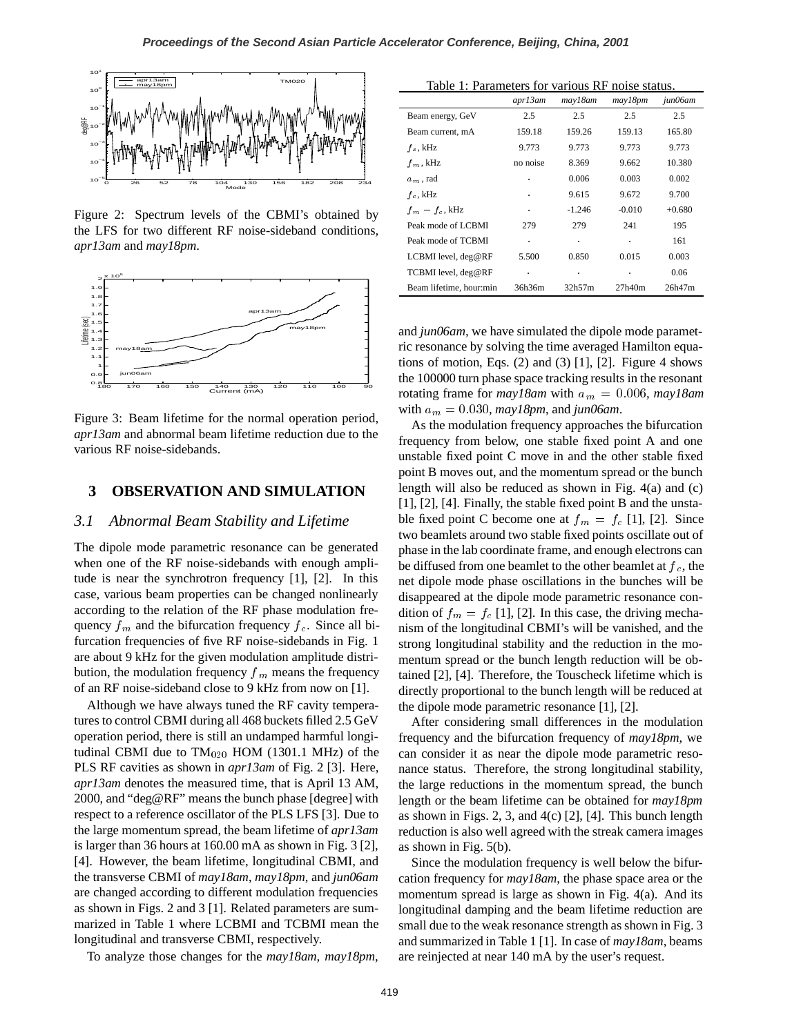

Figure 2: Spectrum levels of the CBMI's obtained by the LFS for two different RF noise-sideband conditions*, apr13am* and *may18pm*.



Figure 3: Beam lifetime for the normal operation period, *apr13am* and abnormal beam lifetime reduction due to the various RF noise-sidebands.

# **3 OBSERVATION AND SIMULATION**

### *3.1 Abnormal Beam Stability and Lifetime*

The dipole mode parametric resonance can be generated when one of the RF noise-sidebands with enough amplitude is near the synchrotron frequency [1], [2]. In this case, various beam properties can be changed nonlinearly according to the relation of the RF phase modulation frequency  $f_m$  and the bifurcation frequency  $f_c$ . Since all bifurcation frequencies of five RF noise-sidebands in Fig. 1 are about 9 kHz for the given modulation amplitude distribution, the modulation frequency  $f_m$  means the frequency of an RF noise-sideband close to 9 kHz from now on [1].

Although we have always tuned the RF cavity temperatures to control CBMI during all 468 buckets filled 2.5 GeV operation period, there is still an undamped harmful longitudinal CBMI due to  $TM_{020}$  HOM (1301.1 MHz) of the PLS RF cavities as shown in *apr13am* of Fig. 2 [3]. Here, *apr13am* denotes the measured time, that is April 13 AM, 2000, and "deg@RF" means the bunch phase [degree] with respect to a reference oscillator of the PLS LFS [3]. Due to the large momentum spread, the beam lifetime of *apr13am* is larger than 36 hours at 160.00 mA as shown in Fig. 3 [2], [4]. However, the beam lifetime, longitudinal CBMI, and the transverse CBMI of *may18am*, *may18pm*, and *jun06am* are changed according to different modulation frequencies as shown in Figs. 2 and 3 [1]. Related parameters are summarized in Table 1 where LCBMI and TCBMI mean the longitudinal and transverse CBMI, respectively.

To analyze those changes for the *may18am, may18pm*,

|  |  | Table 1: Parameters for various RF noise status. |  |  |  |
|--|--|--------------------------------------------------|--|--|--|
|--|--|--------------------------------------------------|--|--|--|

|                         | apr13am  | may18am  | may18pm  | jun06am  |
|-------------------------|----------|----------|----------|----------|
| Beam energy, GeV        | 2.5      | 2.5      | 2.5      | 2.5      |
| Beam current, mA        | 159.18   | 159.26   | 159.13   | 165.80   |
| $f_{\rm s}$ , kHz       | 9.773    | 9.773    | 9.773    | 9.773    |
| $f_m$ , kHz             | no noise | 8.369    | 9.662    | 10.380   |
| $a_m$ , rad             | ٠        | 0.006    | 0.003    | 0.002    |
| $f_c$ , kHz             |          | 9.615    | 9.672    | 9.700    |
| $f_m - f_c$ , kHz       | ٠        | $-1.246$ | $-0.010$ | $+0.680$ |
| Peak mode of LCBMI      | 279      | 279      | 241      | 195      |
| Peak mode of TCBMI      | ä,       |          | ٠        | 161      |
| LCBMI level, deg@RF     | 5.500    | 0.850    | 0.015    | 0.003    |
| TCBMI level, deg@RF     | ٠        |          | ٠        | 0.06     |
| Beam lifetime, hour:min | 36h36m   | 32h57m   | 27h40m   | 26h47m   |

and *jun06am,* we have simulated the dipole mode parametric resonance by solving the time averaged Hamilton equations of motion, Eqs.  $(2)$  and  $(3)$  [1], [2]. Figure 4 shows the 100000 turn phase space tracking results in the resonant rotating frame for  $may18am$  with  $a_m = 0.006$ ,  $may18am$ with  $a_m = 0.030$ ,  $may18pm$ , and  $jun06am$ .

As the modulation frequency approaches the bifurcation frequency from below, one stable fixed point A and one unstable fixed point C move in and the other stable fixed point B moves out, and the momentum spread or the bunch length will also be reduced as shown in Fig. 4(a) and (c) [1], [2], [4]. Finally, the stable fixed point B and the unstable fixed point C become one at  $f_m = f_c$  [1], [2]. Since two beamlets around two stable fixed points oscillate out of phase in the lab coordinate frame, and enough electrons can be diffused from one beamlet to the other beamlet at  $f_c$ , the net dipole mode phase oscillations in the bunches will be disappeared at the dipole mode parametric resonance condition of  $f_m = f_c$  [1], [2]. In this case, the driving mechanism of the longitudinal CBMI's will be vanished, and the strong longitudinal stability and the reduction in the momentum spread or the bunch length reduction will be obtained [2], [4]. Therefore, the Touscheck lifetime which is directly proportional to the bunch length will be reduced at the dipole mode parametric resonance [1], [2].

After considering small differences in the modulation frequency and the bifurcation frequency of *may18pm*, we can consider it as near the dipole mode parametric resonance status. Therefore, the strong longitudinal stability, the large reductions in the momentum spread, the bunch length or the beam lifetime can be obtained for *may18pm* as shown in Figs. 2, 3, and  $4(c)$  [2], [4]. This bunch length reduction is also well agreed with the streak camera images as shown in Fig. 5(b).

Since the modulation frequency is well below the bifurcation frequency for *may18am*, the phase space area or the momentum spread is large as shown in Fig. 4(a). And its longitudinal damping and the beam lifetime reduction are small due to the weak resonance strength as shown in Fig. 3 and summarized in Table 1 [1]. In case of *may18am*, beams are reinjected at near 140 mA by the user's request.